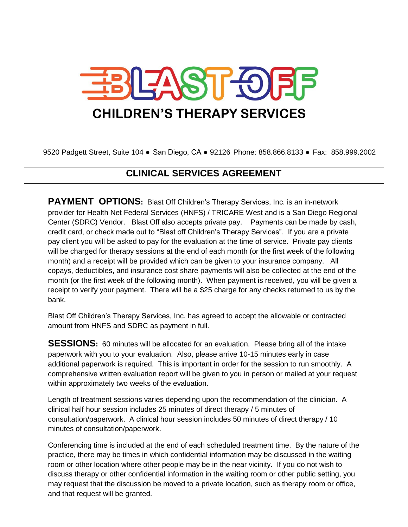

9520 Padgett Street, Suite 104 ● San Diego, CA ● 92126 Phone: 858.866.8133 ● Fax: 858.999.2002

## **CLINICAL SERVICES AGREEMENT**

**PAYMENT OPTIONS:** Blast Off Children's Therapy Services, Inc. is an in-network provider for Health Net Federal Services (HNFS) / TRICARE West and is a San Diego Regional Center (SDRC) Vendor. Blast Off also accepts private pay. Payments can be made by cash, credit card, or check made out to "Blast off Children's Therapy Services". If you are a private pay client you will be asked to pay for the evaluation at the time of service. Private pay clients will be charged for therapy sessions at the end of each month (or the first week of the following month) and a receipt will be provided which can be given to your insurance company. All copays, deductibles, and insurance cost share payments will also be collected at the end of the month (or the first week of the following month). When payment is received, you will be given a receipt to verify your payment. There will be a \$25 charge for any checks returned to us by the bank.

Blast Off Children's Therapy Services, Inc. has agreed to accept the allowable or contracted amount from HNFS and SDRC as payment in full.

**SESSIONS:** 60 minutes will be allocated for an evaluation. Please bring all of the intake paperwork with you to your evaluation. Also, please arrive 10-15 minutes early in case additional paperwork is required. This is important in order for the session to run smoothly. A comprehensive written evaluation report will be given to you in person or mailed at your request within approximately two weeks of the evaluation.

Length of treatment sessions varies depending upon the recommendation of the clinician. A clinical half hour session includes 25 minutes of direct therapy / 5 minutes of consultation/paperwork. A clinical hour session includes 50 minutes of direct therapy / 10 minutes of consultation/paperwork.

Conferencing time is included at the end of each scheduled treatment time. By the nature of the practice, there may be times in which confidential information may be discussed in the waiting room or other location where other people may be in the near vicinity. If you do not wish to discuss therapy or other confidential information in the waiting room or other public setting, you may request that the discussion be moved to a private location, such as therapy room or office, and that request will be granted.